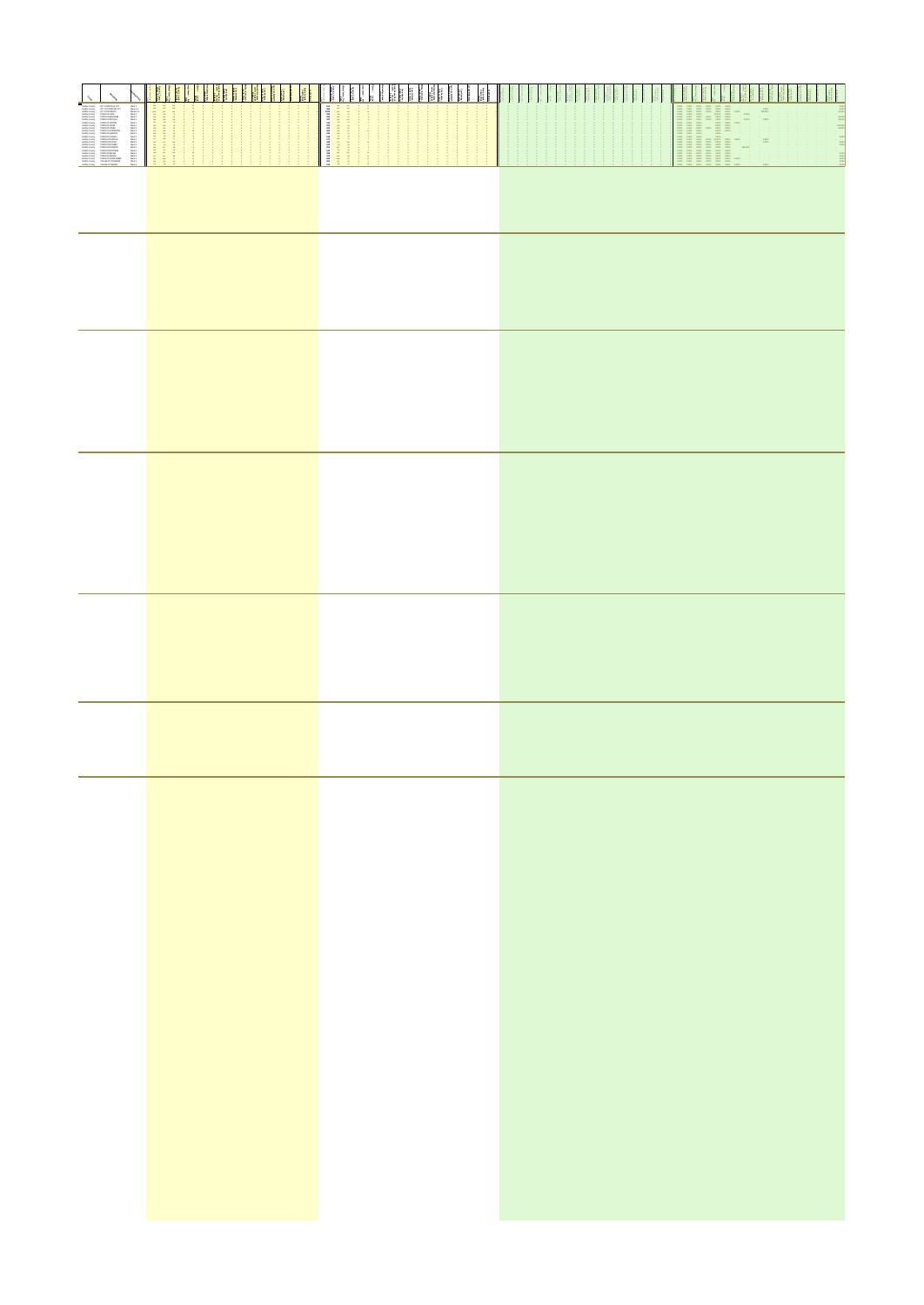| $\begin{tabular}{ c c c c } \hline \multicolumn{1}{ c }{\textbf{W1}} & \multicolumn{1}{ c }{\textbf{W2}} & \multicolumn{1}{ c }{\textbf{W2}} & \multicolumn{1}{ c }{\textbf{W3}} & \multicolumn{1}{ c }{\textbf{W4}} & \multicolumn{1}{ c }{\textbf{W5}} & \multicolumn{1}{ c }{\textbf{W5}} & \multicolumn{1}{ c }{\textbf{W5}} & \multicolumn{1}{ c }{\textbf{W5}} & \multicolumn{1}{ c }{\textbf{W5}} & \multicolumn{1}{ c }{$ | <b>HIIII</b><br>H<br>41   1   1<br><br><br>.<br><br> | 16 金金原 英第三 网络英语古巴美国英语英语名英语<br>.<br>$\frac{1}{2}$<br>,,,,,,,,,,,<br><br>÷, | E.<br>$\frac{\text{rad}}{\text{tan}}$<br>$\frac{100}{100}$ |
|-----------------------------------------------------------------------------------------------------------------------------------------------------------------------------------------------------------------------------------------------------------------------------------------------------------------------------------------------------------------------------------------------------------------------------------|------------------------------------------------------|---------------------------------------------------------------------------|------------------------------------------------------------|
|                                                                                                                                                                                                                                                                                                                                                                                                                                   |                                                      |                                                                           |                                                            |
|                                                                                                                                                                                                                                                                                                                                                                                                                                   |                                                      |                                                                           |                                                            |
|                                                                                                                                                                                                                                                                                                                                                                                                                                   |                                                      |                                                                           |                                                            |
|                                                                                                                                                                                                                                                                                                                                                                                                                                   |                                                      |                                                                           |                                                            |
|                                                                                                                                                                                                                                                                                                                                                                                                                                   |                                                      |                                                                           |                                                            |
|                                                                                                                                                                                                                                                                                                                                                                                                                                   |                                                      |                                                                           |                                                            |
|                                                                                                                                                                                                                                                                                                                                                                                                                                   |                                                      |                                                                           |                                                            |
|                                                                                                                                                                                                                                                                                                                                                                                                                                   |                                                      |                                                                           |                                                            |
|                                                                                                                                                                                                                                                                                                                                                                                                                                   |                                                      |                                                                           |                                                            |
|                                                                                                                                                                                                                                                                                                                                                                                                                                   |                                                      |                                                                           |                                                            |
|                                                                                                                                                                                                                                                                                                                                                                                                                                   |                                                      |                                                                           |                                                            |
|                                                                                                                                                                                                                                                                                                                                                                                                                                   |                                                      |                                                                           |                                                            |
|                                                                                                                                                                                                                                                                                                                                                                                                                                   |                                                      |                                                                           |                                                            |
|                                                                                                                                                                                                                                                                                                                                                                                                                                   |                                                      |                                                                           |                                                            |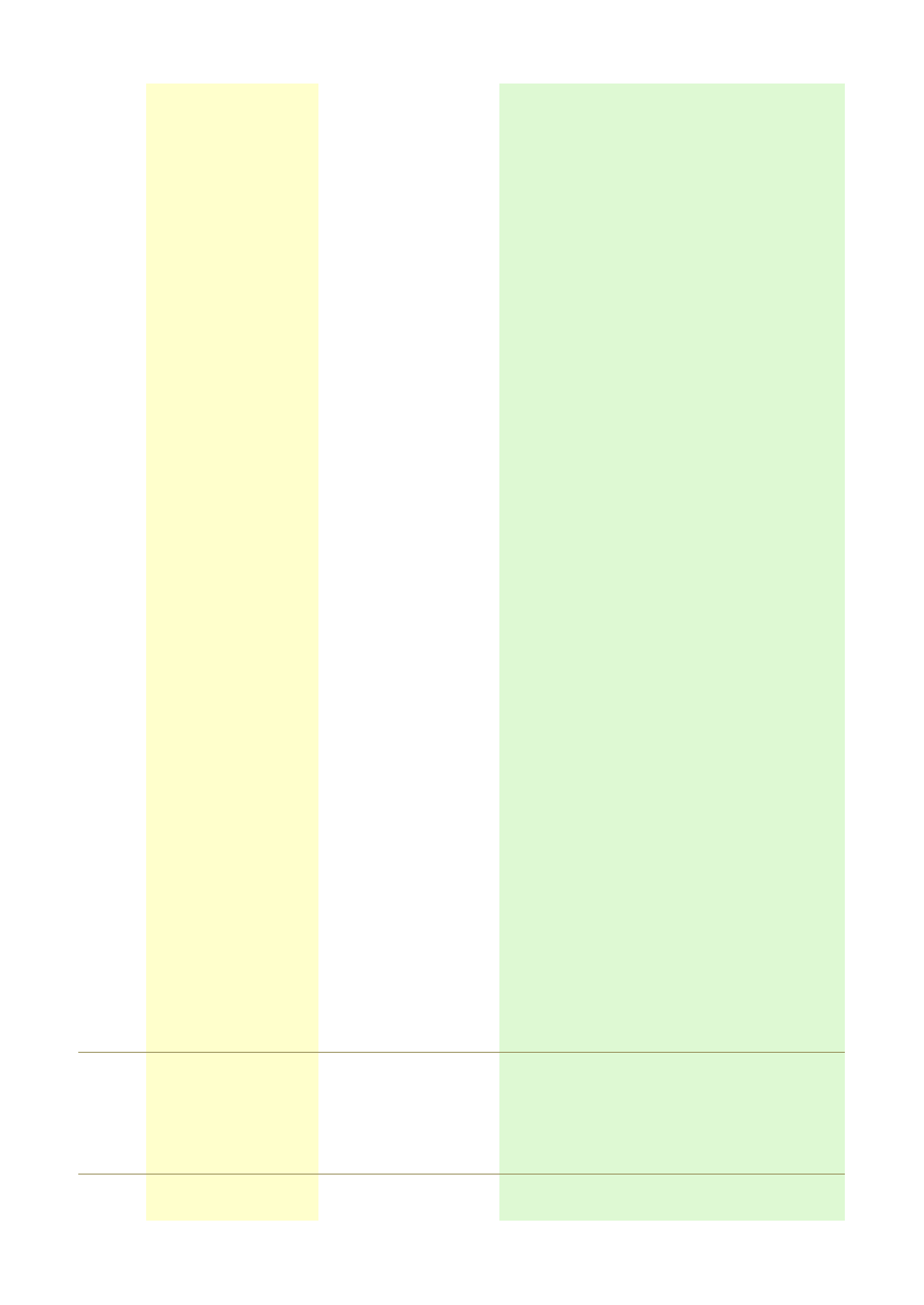